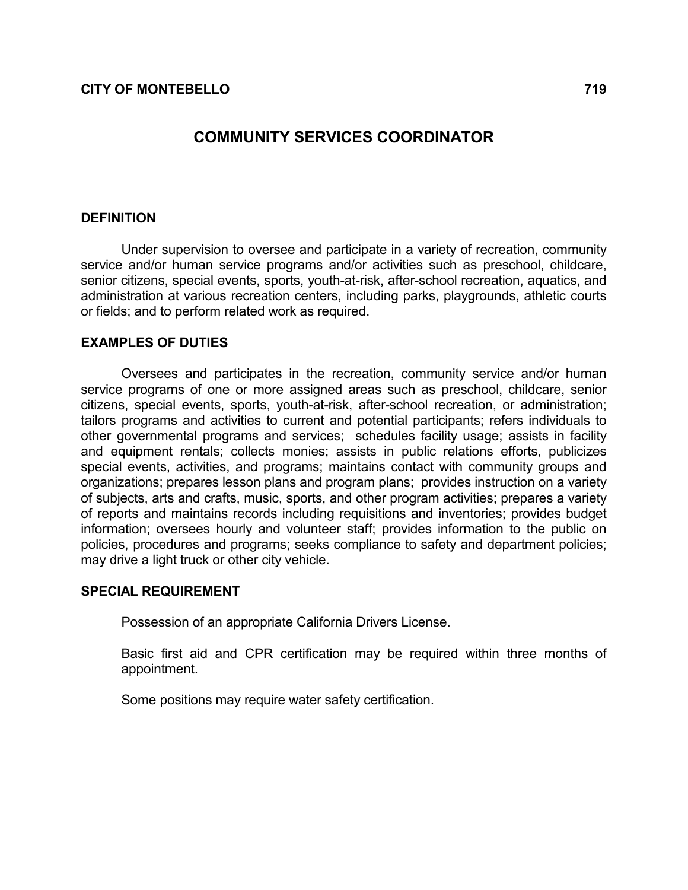# COMMUNITY SERVICES COORDINATOR

### **DEFINITION**

 Under supervision to oversee and participate in a variety of recreation, community service and/or human service programs and/or activities such as preschool, childcare, senior citizens, special events, sports, youth-at-risk, after-school recreation, aquatics, and administration at various recreation centers, including parks, playgrounds, athletic courts or fields; and to perform related work as required.

### EXAMPLES OF DUTIES

 Oversees and participates in the recreation, community service and/or human service programs of one or more assigned areas such as preschool, childcare, senior citizens, special events, sports, youth-at-risk, after-school recreation, or administration; tailors programs and activities to current and potential participants; refers individuals to other governmental programs and services; schedules facility usage; assists in facility and equipment rentals; collects monies; assists in public relations efforts, publicizes special events, activities, and programs; maintains contact with community groups and organizations; prepares lesson plans and program plans; provides instruction on a variety of subjects, arts and crafts, music, sports, and other program activities; prepares a variety of reports and maintains records including requisitions and inventories; provides budget information; oversees hourly and volunteer staff; provides information to the public on policies, procedures and programs; seeks compliance to safety and department policies; may drive a light truck or other city vehicle.

### SPECIAL REQUIREMENT

Possession of an appropriate California Drivers License.

 Basic first aid and CPR certification may be required within three months of appointment.

Some positions may require water safety certification.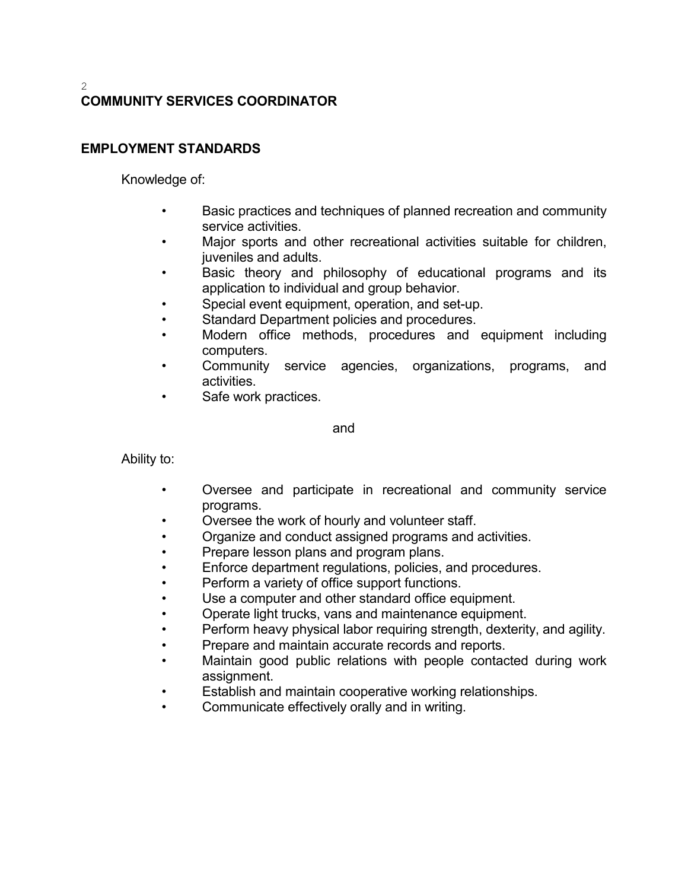#### 2 COMMUNITY SERVICES COORDINATOR

## EMPLOYMENT STANDARDS

Knowledge of:

- Basic practices and techniques of planned recreation and community service activities.
- Major sports and other recreational activities suitable for children, juveniles and adults.
- Basic theory and philosophy of educational programs and its application to individual and group behavior.
- Special event equipment, operation, and set-up.
- Standard Department policies and procedures.
- Modern office methods, procedures and equipment including computers.
- Community service agencies, organizations, programs, and activities.
- Safe work practices.

and

Ability to:

- Oversee and participate in recreational and community service programs.
- Oversee the work of hourly and volunteer staff.
- Organize and conduct assigned programs and activities.
- Prepare lesson plans and program plans.
- Enforce department regulations, policies, and procedures.
- Perform a variety of office support functions.
- Use a computer and other standard office equipment.
- Operate light trucks, vans and maintenance equipment.
- Perform heavy physical labor requiring strength, dexterity, and agility.
- Prepare and maintain accurate records and reports.
- Maintain good public relations with people contacted during work assignment.
- Establish and maintain cooperative working relationships.
- Communicate effectively orally and in writing.